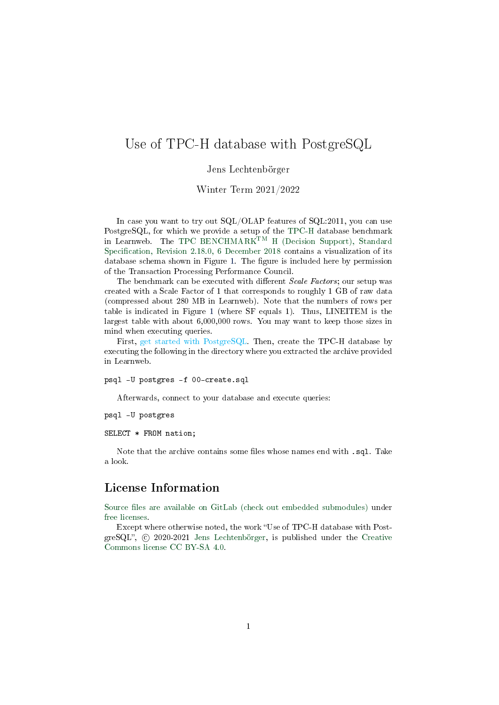## Use of TPC-H database with PostgreSQL

Jens Lechtenbörger

Winter Term 2021/2022

In case you want to try out SQL/OLAP features of SQL:2011, you can use PostgreSQL, for which we provide a setup of the [TPC-H](http://www.tpc.org/tpch/) database benchmark in Learnweb. The TPC BENCHMARKTM [H \(Decision Support\), Standard](http://tpc.org/TPC_Documents_Current_Versions/pdf/tpc-h_v2.18.0.pdf) Specification, Revision 2.18.0, 6 December 2018 contains a visualization of its database schema shown in Figure [1.](#page-1-0) The figure is included here by permission of the Transaction Processing Performance Council.

The benchmark can be executed with different Scale Factors; our setup was created with a Scale Factor of 1 that corresponds to roughly 1 GB of raw data (compressed about 280 MB in Learnweb). Note that the numbers of rows per table is indicated in Figure [1](#page-1-0) (where SF equals 1). Thus, LINEITEM is the largest table with about 6,000,000 rows. You may want to keep those sizes in mind when executing queries.

First, get started with PostgreSQL. Then, create the TPC-H database by executing the following in the directory where you extracted the archive provided in Learnweb.

psql -U postgres -f 00-create.sql

Afterwards, connect to your database and execute queries:

psql -U postgres

SELECT \* FROM nation;

Note that the archive contains some files whose names end with .sql. Take a look.

## License Information

Source files are available on GitLab (check out embedded submodules) under [free licenses.](https://en.wikipedia.org/wiki/Free_license)

Except where otherwise noted, the work "Use of TPC-H database with PostgreSQL",  $\odot$  2020-2021 [Jens Lechtenbörger,](https://lechten.gitlab.io/#me) is published under the [Creative](https://creativecommons.org/licenses/by-sa/4.0/) [Commons license CC BY-SA 4.0.](https://creativecommons.org/licenses/by-sa/4.0/)